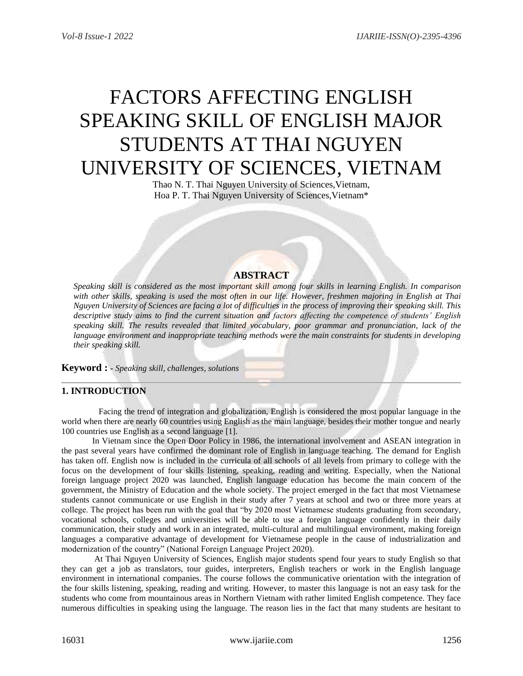# FACTORS AFFECTING ENGLISH SPEAKING SKILL OF ENGLISH MAJOR STUDENTS AT THAI NGUYEN UNIVERSITY OF SCIENCES, VIETNAM

Thao N. T. Thai Nguyen University of Sciences,Vietnam, Hoa P. T. Thai Nguyen University of Sciences,Vietnam\*

# **ABSTRACT**

*Speaking skill is considered as the most important skill among four skills in learning English. In comparison with other skills, speaking is used the most often in our life. However, freshmen majoring in English at Thai Nguyen University of Sciences are facing a lot of difficulties in the process of improving their speaking skill. This descriptive study aims to find the current situation and factors affecting the competence of students' English speaking skill. The results revealed that limited vocabulary, poor grammar and pronunciation, lack of the language environment and inappropriate teaching methods were the main constraints for students in developing their speaking skill.* 

**Keyword : -** *Speaking skill, challenges, solutions*

# **1. INTRODUCTION**

 Facing the trend of integration and globalization, English is considered the most popular language in the world when there are nearly 60 countries using English as the main language, besides their mother tongue and nearly 100 countries use English as a second language [1].

In Vietnam since the Open Door Policy in 1986, the international involvement and ASEAN integration in the past several years have confirmed the dominant role of English in language teaching. The demand for English has taken off. English now is included in the curricula of all schools of all levels from primary to college with the focus on the development of four skills listening, speaking, reading and writing. Especially, when the National foreign language project 2020 was launched, English language education has become the main concern of the government, the Ministry of Education and the whole society. The project emerged in the fact that most Vietnamese students cannot communicate or use English in their study after 7 years at school and two or three more years at college. The project has been run with the goal that "by 2020 most Vietnamese students graduating from secondary, vocational schools, colleges and universities will be able to use a foreign language confidently in their daily communication, their study and work in an integrated, multi-cultural and multilingual environment, making foreign languages a comparative advantage of development for Vietnamese people in the cause of industrialization and modernization of the country" (National Foreign Language Project 2020).

At Thai Nguyen University of Sciences, English major students spend four years to study English so that they can get a job as translators, tour guides, interpreters, English teachers or work in the English language environment in international companies. The course follows the communicative orientation with the integration of the four skills listening, speaking, reading and writing. However, to master this language is not an easy task for the students who come from mountainous areas in Northern Vietnam with rather limited English competence. They face numerous difficulties in speaking using the language. The reason lies in the fact that many students are hesitant to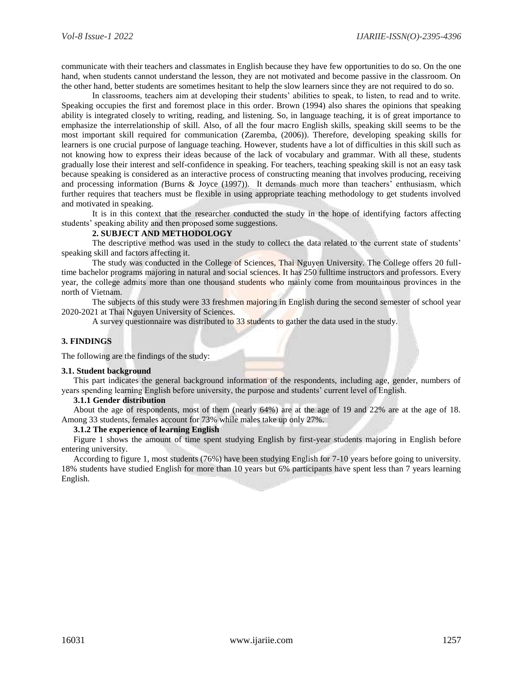communicate with their teachers and classmates in English because they have few opportunities to do so. On the one hand, when students cannot understand the lesson, they are not motivated and become passive in the classroom. On the other hand, better students are sometimes hesitant to help the slow learners since they are not required to do so.

In classrooms, teachers aim at developing their students' abilities to speak, to listen, to read and to write. Speaking occupies the first and foremost place in this order. Brown (1994) also shares the opinions that speaking ability is integrated closely to writing, reading, and listening. So, in language teaching, it is of great importance to emphasize the interrelationship of skill. Also, of all the four macro English skills, speaking skill seems to be the most important skill required for communication (Zaremba, (2006)). Therefore, developing speaking skills for learners is one crucial purpose of language teaching. However, students have a lot of difficulties in this skill such as not knowing how to express their ideas because of the lack of vocabulary and grammar. With all these, students gradually lose their interest and self-confidence in speaking. For teachers, teaching speaking skill is not an easy task because speaking is considered as an interactive process of constructing meaning that involves producing, receiving and processing information *(*Burns & Joyce (1997)). It demands much more than teachers' enthusiasm, which further requires that teachers must be flexible in using appropriate teaching methodology to get students involved and motivated in speaking.

It is in this context that the researcher conducted the study in the hope of identifying factors affecting students' speaking ability and then proposed some suggestions.

#### **2. SUBJECT AND METHODOLOGY**

The descriptive method was used in the study to collect the data related to the current state of students' speaking skill and factors affecting it.

The study was conducted in the College of Sciences, Thai Nguyen University. The College offers 20 fulltime bachelor programs majoring in natural and social sciences. It has 250 fulltime instructors and professors. Every year, the college admits more than one thousand students who mainly come from mountainous provinces in the north of Vietnam.

The subjects of this study were 33 freshmen majoring in English during the second semester of school year 2020-2021 at Thai Nguyen University of Sciences.

A survey questionnaire was distributed to 33 students to gather the data used in the study.

#### **3. FINDINGS**

The following are the findings of the study:

#### **3.1. Student background**

This part indicates the general background information of the respondents, including age, gender, numbers of years spending learning English before university, the purpose and students' current level of English.

#### **3.1.1 Gender distribution**

About the age of respondents, most of them (nearly 64%) are at the age of 19 and 22% are at the age of 18. Among 33 students, females account for 73% while males take up only 27%.

#### **3.1.2 The experience of learning English**

Figure 1 shows the amount of time spent studying English by first-year students majoring in English before entering university.

According to figure 1, most students (76%) have been studying English for 7-10 years before going to university. 18% students have studied English for more than 10 years but 6% participants have spent less than 7 years learning English.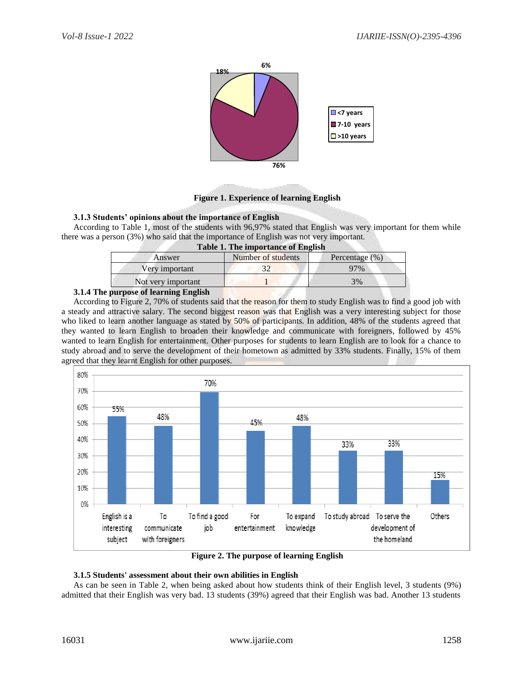

## **Figure 1. Experience of learning English**

## **3.1.3 Students' opinions about the importance of English**

According to Table 1, most of the students with 96,97% stated that English was very important for them while there was a person (3%) who said that the importance of English was not very important. **Table 1. The importance of English**

| <b>Table 1. The importance of English</b> |                    |                    |  |  |  |  |
|-------------------------------------------|--------------------|--------------------|--|--|--|--|
| Answer                                    | Number of students | Percentage $(\% )$ |  |  |  |  |
| Very important                            |                    | 97%                |  |  |  |  |
| Not very important                        |                    | 3%                 |  |  |  |  |
| $\mathbf{r}$ and $\mathbf{r}$ in          |                    |                    |  |  |  |  |

## **3.1.4 The purpose of learning English**

According to Figure 2, 70% of students said that the reason for them to study English was to find a good job with a steady and attractive salary. The second biggest reason was that English was a very interesting subject for those who liked to learn another language as stated by 50% of participants. In addition, 48% of the students agreed that they wanted to learn English to broaden their knowledge and communicate with foreigners, followed by 45% wanted to learn English for entertainment. Other purposes for students to learn English are to look for a chance to study abroad and to serve the development of their hometown as admitted by 33% students. Finally, 15% of them agreed that they learnt English for other purposes.



**Figure 2. The purpose of learning English**

## **3.1.5 Students' assessment about their own abilities in English**

As can be seen in Table 2, when being asked about how students think of their English level, 3 students (9%) admitted that their English was very bad. 13 students (39%) agreed that their English was bad. Another 13 students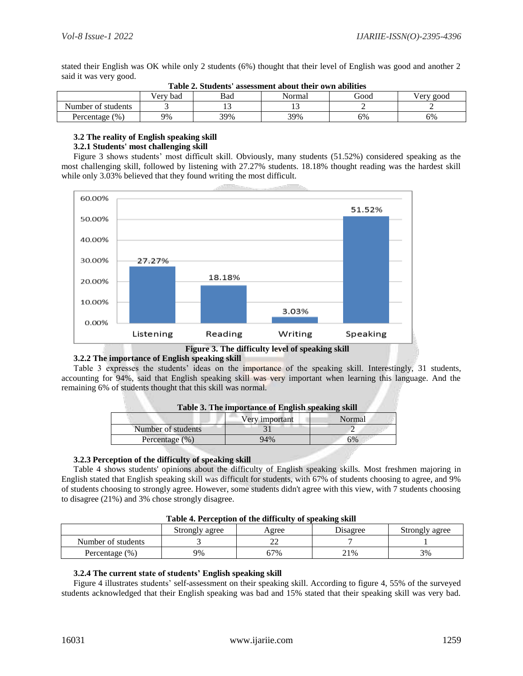stated their English was OK while only 2 students (6%) thought that their level of English was good and another 2 said it was very good.

| THINK THE PLAN AND MODEDIALLY MULTING MILLE OUTLE MULLEUGH |                 |     |                |    |           |  |
|------------------------------------------------------------|-----------------|-----|----------------|----|-----------|--|
|                                                            | Bad<br>Verv bad |     | Good<br>Normal |    | Verv good |  |
| Number of students                                         |                 |     |                |    |           |  |
| $^{(0)}$<br>Percentage                                     | 9%              | 39% | 39%            | 6% | 6%        |  |

| Table 2. Students' assessment about their own abilities |
|---------------------------------------------------------|
|---------------------------------------------------------|

## **3.2 The reality of English speaking skill**

## **3.2.1 Students' most challenging skill**

Figure 3 shows students' most difficult skill. Obviously, many students (51.52%) considered speaking as the most challenging skill, followed by listening with 27.27% students. 18.18% thought reading was the hardest skill while only 3.03% believed that they found writing the most difficult.



**Figure 3. The difficulty level of speaking skill**

## **3.2.2 The importance of English speaking skill**

Table 3 expresses the students' ideas on the importance of the speaking skill. Interestingly, 31 students, accounting for 94%, said that English speaking skill was very important when learning this language. And the remaining 6% of students thought that this skill was normal.

| Table 3. The importance of English speaking skill |                |        |  |
|---------------------------------------------------|----------------|--------|--|
|                                                   | Very important | Normal |  |
| Number of students                                |                |        |  |
| Percentage $(\% )$                                | 94%            | 6%     |  |

## **3.2.3 Perception of the difficulty of speaking skill**

Table 4 shows students' opinions about the difficulty of English speaking skills. Most freshmen majoring in English stated that English speaking skill was difficult for students, with 67% of students choosing to agree, and 9% of students choosing to strongly agree. However, some students didn't agree with this view, with 7 students choosing to disagree (21%) and 3% chose strongly disagree.

| Table 4. I creeption of the unficulty of speaking skill |                |       |          |                |
|---------------------------------------------------------|----------------|-------|----------|----------------|
|                                                         | Strongly agree | Agree | Disagree | Strongly agree |
| Number of students                                      |                |       |          |                |
| Percentage (%)                                          | 9%             | 57%   | 21%      | 3%             |

**Table 4. Perception of the difficulty of speaking skill**

## **3.2.4 The current state of students' English speaking skill**

Figure 4 illustrates students' self-assessment on their speaking skill. According to figure 4, 55% of the surveyed students acknowledged that their English speaking was bad and 15% stated that their speaking skill was very bad.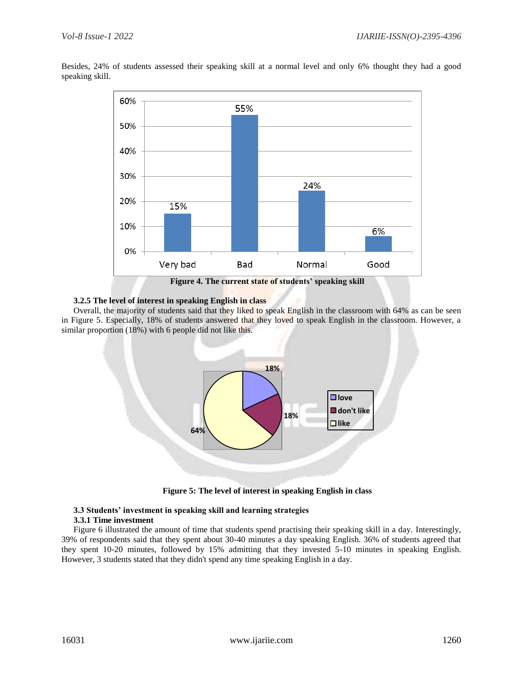Besides, 24% of students assessed their speaking skill at a normal level and only 6% thought they had a good speaking skill.



**Figure 4. The current state of students' speaking skill** 

# **3.2.5 The level of interest in speaking English in class**

Overall, the majority of students said that they liked to speak English in the classroom with 64% as can be seen in Figure 5. Especially, 18% of students answered that they loved to speak English in the classroom. However, a similar proportion (18%) with 6 people did not like this.



**Figure 5: The level of interest in speaking English in class**

# **3.3 Students' investment in speaking skill and learning strategies**

## **3.3.1 Time investment**

Figure 6 illustrated the amount of time that students spend practising their speaking skill in a day. Interestingly, 39% of respondents said that they spent about 30-40 minutes a day speaking English. 36% of students agreed that they spent 10-20 minutes, followed by 15% admitting that they invested 5-10 minutes in speaking English. However, 3 students stated that they didn't spend any time speaking English in a day.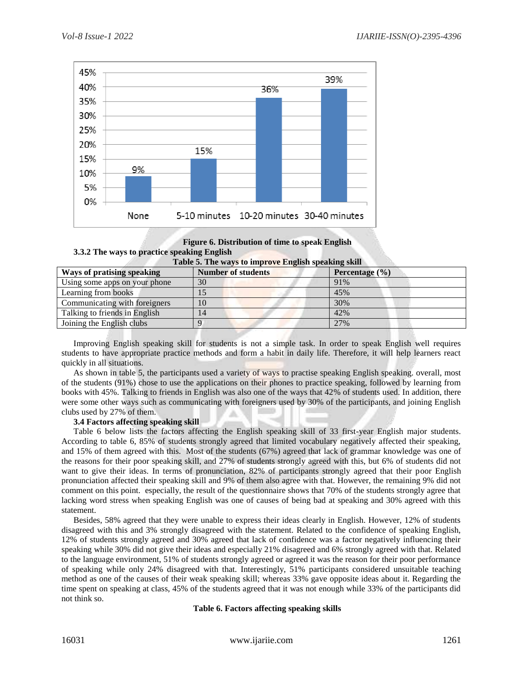

## **Figure 6. Distribution of time to speak English 3.3.2 The ways to practice speaking English**

| Table 5. The ways to improve English speaking skill |                           |                    |  |
|-----------------------------------------------------|---------------------------|--------------------|--|
| <b>Ways of pratising speaking</b>                   | <b>Number of students</b> | Percentage $(\% )$ |  |
| Using some apps on your phone                       | 30                        | 91%                |  |
| Learning from books                                 | 15                        | 45%                |  |
| Communicating with foreigners                       | 10                        | 30%                |  |
| Talking to friends in English                       | 14                        | 42%                |  |
| Joining the English clubs                           |                           | 27%                |  |

Improving English speaking skill for students is not a simple task. In order to speak English well requires students to have appropriate practice methods and form a habit in daily life. Therefore, it will help learners react quickly in all situations.

As shown in table 5, the participants used a variety of ways to practise speaking English speaking. overall, most of the students (91%) chose to use the applications on their phones to practice speaking, followed by learning from books with 45%. Talking to friends in English was also one of the ways that 42% of students used. In addition, there were some other ways such as communicating with foreigners used by 30% of the participants, and joining English clubs used by 27% of them.

## **3.4 Factors affecting speaking skill**

Table 6 below lists the factors affecting the English speaking skill of 33 first-year English major students. According to table 6, 85% of students strongly agreed that limited vocabulary negatively affected their speaking, and 15% of them agreed with this. Most of the students (67%) agreed that lack of grammar knowledge was one of the reasons for their poor speaking skill, and 27% of students strongly agreed with this, but 6% of students did not want to give their ideas. In terms of pronunciation, 82% of participants strongly agreed that their poor English pronunciation affected their speaking skill and 9% of them also agree with that. However, the remaining 9% did not comment on this point. especially, the result of the questionnaire shows that 70% of the students strongly agree that lacking word stress when speaking English was one of causes of being bad at speaking and 30% agreed with this statement.

Besides, 58% agreed that they were unable to express their ideas clearly in English. However, 12% of students disagreed with this and 3% strongly disagreed with the statement. Related to the confidence of speaking English, 12% of students strongly agreed and 30% agreed that lack of confidence was a factor negatively influencing their speaking while 30% did not give their ideas and especially 21% disagreed and 6% strongly agreed with that. Related to the language environment, 51% of students strongly agreed or agreed it was the reason for their poor performance of speaking while only 24% disagreed with that. Interestingly, 51% participants considered unsuitable teaching method as one of the causes of their weak speaking skill; whereas 33% gave opposite ideas about it. Regarding the time spent on speaking at class, 45% of the students agreed that it was not enough while 33% of the participants did not think so.

## **Table 6. Factors affecting speaking skills**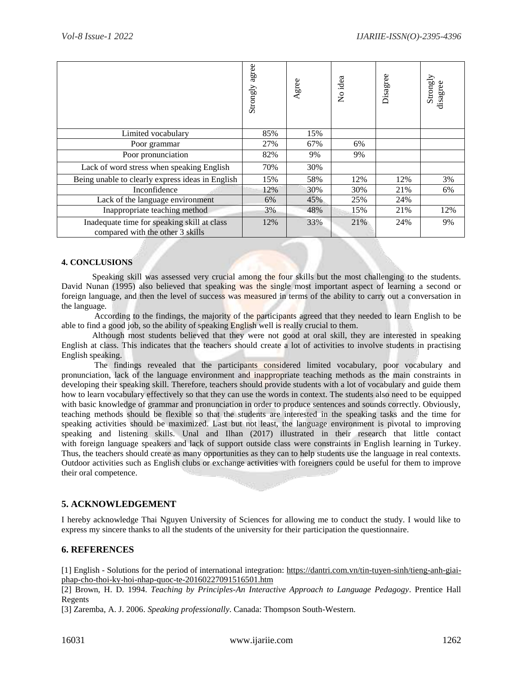|                                                                                                                                                                                                                                                                                                                                                                                                                                                                                                                                                                                                                                                                                                                                                                                                                                                                                                                                                                                                                                                                                                                                                                                                                                                                                                                                                                                                                                                                                                                                                                                                                                                                                                                                                                                                                                                                                                                                                                                                                                                                                                                                                                                                   | Strongly agree  | Agree | No idea | Disagree | Strongly<br>disagree |
|---------------------------------------------------------------------------------------------------------------------------------------------------------------------------------------------------------------------------------------------------------------------------------------------------------------------------------------------------------------------------------------------------------------------------------------------------------------------------------------------------------------------------------------------------------------------------------------------------------------------------------------------------------------------------------------------------------------------------------------------------------------------------------------------------------------------------------------------------------------------------------------------------------------------------------------------------------------------------------------------------------------------------------------------------------------------------------------------------------------------------------------------------------------------------------------------------------------------------------------------------------------------------------------------------------------------------------------------------------------------------------------------------------------------------------------------------------------------------------------------------------------------------------------------------------------------------------------------------------------------------------------------------------------------------------------------------------------------------------------------------------------------------------------------------------------------------------------------------------------------------------------------------------------------------------------------------------------------------------------------------------------------------------------------------------------------------------------------------------------------------------------------------------------------------------------------------|-----------------|-------|---------|----------|----------------------|
| Limited vocabulary                                                                                                                                                                                                                                                                                                                                                                                                                                                                                                                                                                                                                                                                                                                                                                                                                                                                                                                                                                                                                                                                                                                                                                                                                                                                                                                                                                                                                                                                                                                                                                                                                                                                                                                                                                                                                                                                                                                                                                                                                                                                                                                                                                                | 85%             | 15%   |         |          |                      |
| Poor grammar                                                                                                                                                                                                                                                                                                                                                                                                                                                                                                                                                                                                                                                                                                                                                                                                                                                                                                                                                                                                                                                                                                                                                                                                                                                                                                                                                                                                                                                                                                                                                                                                                                                                                                                                                                                                                                                                                                                                                                                                                                                                                                                                                                                      | 27%             | 67%   | 6%      |          |                      |
| Poor pronunciation                                                                                                                                                                                                                                                                                                                                                                                                                                                                                                                                                                                                                                                                                                                                                                                                                                                                                                                                                                                                                                                                                                                                                                                                                                                                                                                                                                                                                                                                                                                                                                                                                                                                                                                                                                                                                                                                                                                                                                                                                                                                                                                                                                                | 82%             | 9%    | 9%      |          |                      |
| Lack of word stress when speaking English                                                                                                                                                                                                                                                                                                                                                                                                                                                                                                                                                                                                                                                                                                                                                                                                                                                                                                                                                                                                                                                                                                                                                                                                                                                                                                                                                                                                                                                                                                                                                                                                                                                                                                                                                                                                                                                                                                                                                                                                                                                                                                                                                         | 70%             | 30%   |         |          |                      |
| Being unable to clearly express ideas in English                                                                                                                                                                                                                                                                                                                                                                                                                                                                                                                                                                                                                                                                                                                                                                                                                                                                                                                                                                                                                                                                                                                                                                                                                                                                                                                                                                                                                                                                                                                                                                                                                                                                                                                                                                                                                                                                                                                                                                                                                                                                                                                                                  | 15%             | 58%   | 12%     | 12%      | 3%                   |
| Inconfidence                                                                                                                                                                                                                                                                                                                                                                                                                                                                                                                                                                                                                                                                                                                                                                                                                                                                                                                                                                                                                                                                                                                                                                                                                                                                                                                                                                                                                                                                                                                                                                                                                                                                                                                                                                                                                                                                                                                                                                                                                                                                                                                                                                                      | 12%             | 30%   | 30%     | 21%      | 6%                   |
| Lack of the language environment                                                                                                                                                                                                                                                                                                                                                                                                                                                                                                                                                                                                                                                                                                                                                                                                                                                                                                                                                                                                                                                                                                                                                                                                                                                                                                                                                                                                                                                                                                                                                                                                                                                                                                                                                                                                                                                                                                                                                                                                                                                                                                                                                                  | 6%              | 45%   | 25%     | 24%      |                      |
| Inappropriate teaching method                                                                                                                                                                                                                                                                                                                                                                                                                                                                                                                                                                                                                                                                                                                                                                                                                                                                                                                                                                                                                                                                                                                                                                                                                                                                                                                                                                                                                                                                                                                                                                                                                                                                                                                                                                                                                                                                                                                                                                                                                                                                                                                                                                     | 3%              | 48%   | 15%     | 21%      | 12%                  |
| Inadequate time for speaking skill at class<br>compared with the other 3 skills                                                                                                                                                                                                                                                                                                                                                                                                                                                                                                                                                                                                                                                                                                                                                                                                                                                                                                                                                                                                                                                                                                                                                                                                                                                                                                                                                                                                                                                                                                                                                                                                                                                                                                                                                                                                                                                                                                                                                                                                                                                                                                                   | 12%             | 33%   | 21%     | 24%      | 9%                   |
|                                                                                                                                                                                                                                                                                                                                                                                                                                                                                                                                                                                                                                                                                                                                                                                                                                                                                                                                                                                                                                                                                                                                                                                                                                                                                                                                                                                                                                                                                                                                                                                                                                                                                                                                                                                                                                                                                                                                                                                                                                                                                                                                                                                                   |                 |       |         |          |                      |
| <b>4. CONCLUSIONS</b><br>Speaking skill was assessed very crucial among the four skills but the most challenging to the students.<br>David Nunan (1995) also believed that speaking was the single most important aspect of learning a second or<br>foreign language, and then the level of success was measured in terms of the ability to carry out a conversation in<br>the language.<br>According to the findings, the majority of the participants agreed that they needed to learn English to be<br>able to find a good job, so the ability of speaking English well is really crucial to them.<br>Although most students believed that they were not good at oral skill, they are interested in speaking<br>English at class. This indicates that the teachers should create a lot of activities to involve students in practising<br>English speaking.<br>The findings revealed that the participants considered limited vocabulary, poor vocabulary and<br>pronunciation, lack of the language environment and inappropriate teaching methods as the main constraints in<br>developing their speaking skill. Therefore, teachers should provide students with a lot of vocabulary and guide them<br>how to learn vocabulary effectively so that they can use the words in context. The students also need to be equipped<br>with basic knowledge of grammar and pronunciation in order to produce sentences and sounds correctly. Obviously,<br>teaching methods should be flexible so that the students are interested in the speaking tasks and the time for<br>speaking activities should be maximized. Last but not least, the language environment is pivotal to improving<br>speaking and listening skills. Unal and Ilhan (2017) illustrated in their research that little contact<br>with foreign language speakers and lack of support outside class were constraints in English learning in Turkey.<br>Thus, the teachers should create as many opportunities as they can to help students use the language in real contexts.<br>Outdoor activities such as English clubs or exchange activities with foreigners could be useful for them to improve<br>their oral competence. |                 |       |         |          |                      |
| 5. ACKNOWLEDGEMENT                                                                                                                                                                                                                                                                                                                                                                                                                                                                                                                                                                                                                                                                                                                                                                                                                                                                                                                                                                                                                                                                                                                                                                                                                                                                                                                                                                                                                                                                                                                                                                                                                                                                                                                                                                                                                                                                                                                                                                                                                                                                                                                                                                                |                 |       |         |          |                      |
| I hereby acknowledge Thai Nguyen University of Sciences for allowing me to conduct the study. I would like to<br>express my sincere thanks to all the students of the university for their participation the questionnaire.                                                                                                                                                                                                                                                                                                                                                                                                                                                                                                                                                                                                                                                                                                                                                                                                                                                                                                                                                                                                                                                                                                                                                                                                                                                                                                                                                                                                                                                                                                                                                                                                                                                                                                                                                                                                                                                                                                                                                                       |                 |       |         |          |                      |
| <b>6. REFERENCES</b>                                                                                                                                                                                                                                                                                                                                                                                                                                                                                                                                                                                                                                                                                                                                                                                                                                                                                                                                                                                                                                                                                                                                                                                                                                                                                                                                                                                                                                                                                                                                                                                                                                                                                                                                                                                                                                                                                                                                                                                                                                                                                                                                                                              |                 |       |         |          |                      |
| [1] English - Solutions for the period of international integration: https://dantri.com.vn/tin-tuyen-sinh/tieng-anh-giai-<br>phap-cho-thoi-ky-hoi-nhap-quoc-te-20160227091516501.htm<br>[2] Brown, H. D. 1994. Teaching by Principles-An Interactive Approach to Language Pedagogy. Prentice Hall<br>Regents<br>[3] Zaremba, A. J. 2006. Speaking professionally. Canada: Thompson South-Western.                                                                                                                                                                                                                                                                                                                                                                                                                                                                                                                                                                                                                                                                                                                                                                                                                                                                                                                                                                                                                                                                                                                                                                                                                                                                                                                                                                                                                                                                                                                                                                                                                                                                                                                                                                                                 |                 |       |         |          |                      |
| 16031                                                                                                                                                                                                                                                                                                                                                                                                                                                                                                                                                                                                                                                                                                                                                                                                                                                                                                                                                                                                                                                                                                                                                                                                                                                                                                                                                                                                                                                                                                                                                                                                                                                                                                                                                                                                                                                                                                                                                                                                                                                                                                                                                                                             | www.ijariie.com |       |         |          | 1262                 |

## **4. CONCLUSIONS**

# **5. ACKNOWLEDGEMENT**

# **6. REFERENCES**